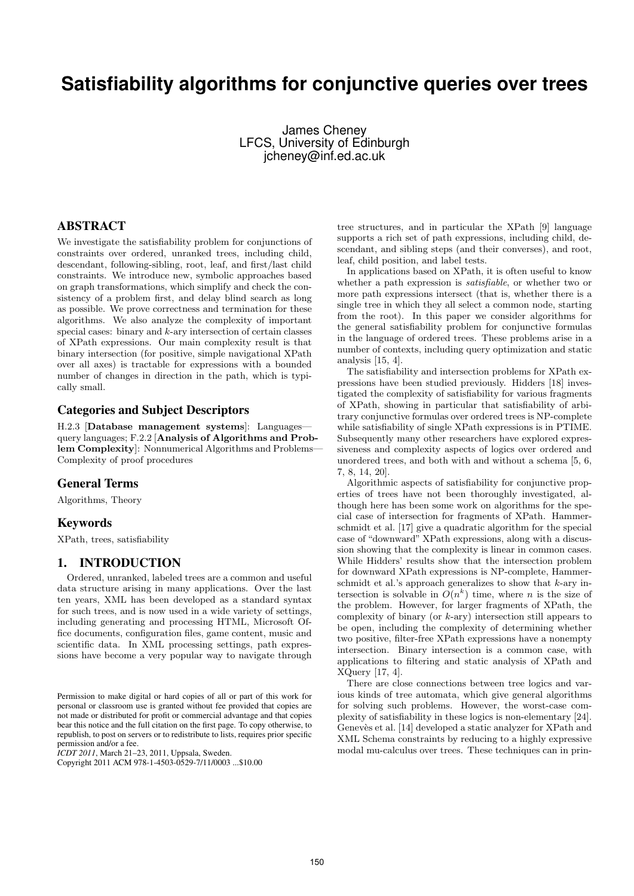# **Satisfiability algorithms for conjunctive queries over trees**

James Cheney LFCS, University of Edinburgh jcheney@inf.ed.ac.uk

# ABSTRACT

We investigate the satisfiability problem for conjunctions of constraints over ordered, unranked trees, including child, descendant, following-sibling, root, leaf, and first/last child constraints. We introduce new, symbolic approaches based on graph transformations, which simplify and check the consistency of a problem first, and delay blind search as long as possible. We prove correctness and termination for these algorithms. We also analyze the complexity of important special cases: binary and k-ary intersection of certain classes of XPath expressions. Our main complexity result is that binary intersection (for positive, simple navigational XPath over all axes) is tractable for expressions with a bounded number of changes in direction in the path, which is typically small.

# Categories and Subject Descriptors

H.2.3 [Database management systems]: Languagesquery languages; F.2.2 [Analysis of Algorithms and Problem Complexity]: Nonnumerical Algorithms and Problems— Complexity of proof procedures

# General Terms

Algorithms, Theory

# Keywords

XPath, trees, satisfiability

# 1. INTRODUCTION

Ordered, unranked, labeled trees are a common and useful data structure arising in many applications. Over the last ten years, XML has been developed as a standard syntax for such trees, and is now used in a wide variety of settings, including generating and processing HTML, Microsoft Office documents, configuration files, game content, music and scientific data. In XML processing settings, path expressions have become a very popular way to navigate through

*ICDT 2011*, March 21–23, 2011, Uppsala, Sweden.

tree structures, and in particular the XPath [9] language supports a rich set of path expressions, including child, descendant, and sibling steps (and their converses), and root, leaf, child position, and label tests.

In applications based on XPath, it is often useful to know whether a path expression is *satisfiable*, or whether two or more path expressions intersect (that is, whether there is a single tree in which they all select a common node, starting from the root). In this paper we consider algorithms for the general satisfiability problem for conjunctive formulas in the language of ordered trees. These problems arise in a number of contexts, including query optimization and static analysis [15, 4].

The satisfiability and intersection problems for XPath expressions have been studied previously. Hidders [18] investigated the complexity of satisfiability for various fragments of XPath, showing in particular that satisfiability of arbitrary conjunctive formulas over ordered trees is NP-complete while satisfiability of single XPath expressions is in PTIME. Subsequently many other researchers have explored expressiveness and complexity aspects of logics over ordered and unordered trees, and both with and without a schema [5, 6, 7, 8, 14, 20].

Algorithmic aspects of satisfiability for conjunctive properties of trees have not been thoroughly investigated, although here has been some work on algorithms for the special case of intersection for fragments of XPath. Hammerschmidt et al. [17] give a quadratic algorithm for the special case of "downward" XPath expressions, along with a discussion showing that the complexity is linear in common cases. While Hidders' results show that the intersection problem for downward XPath expressions is NP-complete, Hammerschmidt et al.'s approach generalizes to show that  $k$ -ary intersection is solvable in  $O(n^k)$  time, where n is the size of the problem. However, for larger fragments of XPath, the complexity of binary (or k-ary) intersection still appears to be open, including the complexity of determining whether two positive, filter-free XPath expressions have a nonempty intersection. Binary intersection is a common case, with applications to filtering and static analysis of XPath and XQuery [17, 4].

There are close connections between tree logics and various kinds of tree automata, which give general algorithms for solving such problems. However, the worst-case complexity of satisfiability in these logics is non-elementary [24]. Genevès et al. [14] developed a static analyzer for XPath and XML Schema constraints by reducing to a highly expressive modal mu-calculus over trees. These techniques can in prin-

Permission to make digital or hard copies of all or part of this work for personal or classroom use is granted without fee provided that copies are not made or distributed for profit or commercial advantage and that copies bear this notice and the full citation on the first page. To copy otherwise, to republish, to post on servers or to redistribute to lists, requires prior specific permission and/or a fee.

Copyright 2011 ACM 978-1-4503-0529-7/11/0003 ...\$10.00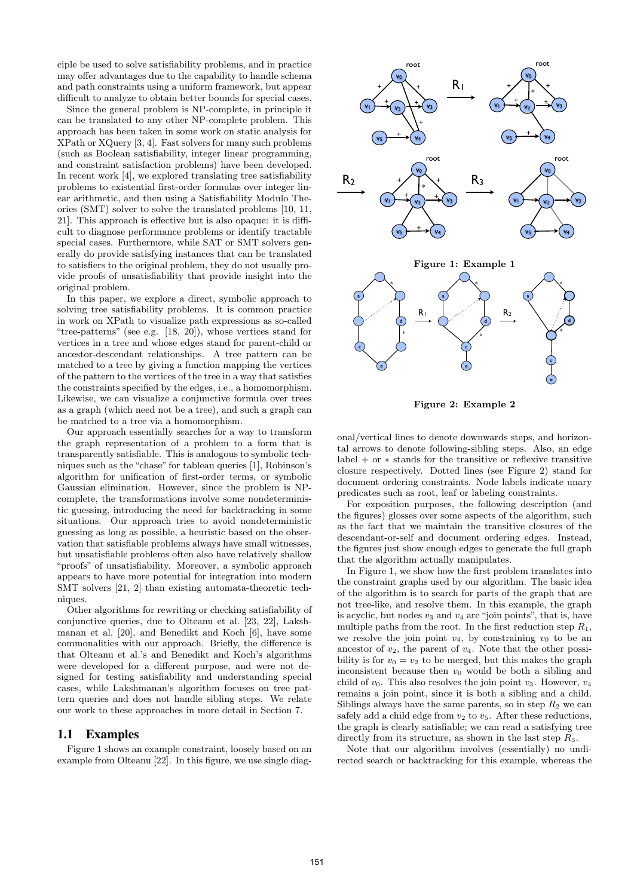ciple be used to solve satisfiability problems, and in practice may offer advantages due to the capability to handle schema and path constraints using a uniform framework, but appear difficult to analyze to obtain better bounds for special cases.

Since the general problem is NP-complete, in principle it can be translated to any other NP-complete problem. This approach has been taken in some work on static analysis for XPath or XQuery [3, 4]. Fast solvers for many such problems (such as Boolean satisfiability, integer linear programming, and constraint satisfaction problems) have been developed. In recent work [4], we explored translating tree satisfiability problems to existential first-order formulas over integer linear arithmetic, and then using a Satisfiability Modulo Theories (SMT) solver to solve the translated problems [10, 11, 21]. This approach is effective but is also opaque: it is difficult to diagnose performance problems or identify tractable special cases. Furthermore, while SAT or SMT solvers generally do provide satisfying instances that can be translated to satisfiers to the original problem, they do not usually provide proofs of unsatisfiability that provide insight into the original problem.

In this paper, we explore a direct, symbolic approach to solving tree satisfiability problems. It is common practice in work on XPath to visualize path expressions as so-called "tree-patterns" (see e.g. [18, 20]), whose vertices stand for vertices in a tree and whose edges stand for parent-child or ancestor-descendant relationships. A tree pattern can be matched to a tree by giving a function mapping the vertices of the pattern to the vertices of the tree in a way that satisfies the constraints specified by the edges, i.e., a homomorphism. Likewise, we can visualize a conjunctive formula over trees as a graph (which need not be a tree), and such a graph can be matched to a tree via a homomorphism.

Our approach essentially searches for a way to transform the graph representation of a problem to a form that is transparently satisfiable. This is analogous to symbolic techniques such as the "chase" for tableau queries [1], Robinson's algorithm for unification of first-order terms, or symbolic Gaussian elimination. However, since the problem is NPcomplete, the transformations involve some nondeterministic guessing, introducing the need for backtracking in some situations. Our approach tries to avoid nondeterministic guessing as long as possible, a heuristic based on the observation that satisfiable problems always have small witnesses, but unsatisfiable problems often also have relatively shallow "proofs" of unsatisfiability. Moreover, a symbolic approach appears to have more potential for integration into modern SMT solvers [21, 2] than existing automata-theoretic techniques.

Other algorithms for rewriting or checking satisfiability of conjunctive queries, due to Olteanu et al. [23, 22], Lakshmanan et al. [20], and Benedikt and Koch [6], have some commonalities with our approach. Briefly, the difference is that Olteanu et al.'s and Benedikt and Koch's algorithms were developed for a different purpose, and were not designed for testing satisfiability and understanding special cases, while Lakshmanan's algorithm focuses on tree pattern queries and does not handle sibling steps. We relate our work to these approaches in more detail in Section 7.

### 1.1 Examples

Figure 1 shows an example constraint, loosely based on an example from Olteanu [22]. In this figure, we use single diag-



Figure 2: Example 2

onal/vertical lines to denote downwards steps, and horizontal arrows to denote following-sibling steps. Also, an edge label + or ∗ stands for the transitive or reflexive transitive closure respectively. Dotted lines (see Figure 2) stand for document ordering constraints. Node labels indicate unary predicates such as root, leaf or labeling constraints.

For exposition purposes, the following description (and the figures) glosses over some aspects of the algorithm, such as the fact that we maintain the transitive closures of the descendant-or-self and document ordering edges. Instead, the figures just show enough edges to generate the full graph that the algorithm actually manipulates.

In Figure 1, we show how the first problem translates into the constraint graphs used by our algorithm. The basic idea of the algorithm is to search for parts of the graph that are not tree-like, and resolve them. In this example, the graph is acyclic, but nodes  $v_3$  and  $v_4$  are "join points", that is, have multiple paths from the root. In the first reduction step  $R_1$ , we resolve the join point  $v_4$ , by constraining  $v_0$  to be an ancestor of  $v_2$ , the parent of  $v_4$ . Note that the other possibility is for  $v_0 = v_2$  to be merged, but this makes the graph inconsistent because then  $v_0$  would be both a sibling and child of  $v_0$ . This also resolves the join point  $v_3$ . However,  $v_4$ remains a join point, since it is both a sibling and a child. Siblings always have the same parents, so in step  $R_2$  we can safely add a child edge from  $v_2$  to  $v_5$ . After these reductions, the graph is clearly satisfiable; we can read a satisfying tree directly from its structure, as shown in the last step  $R_3$ .

Note that our algorithm involves (essentially) no undirected search or backtracking for this example, whereas the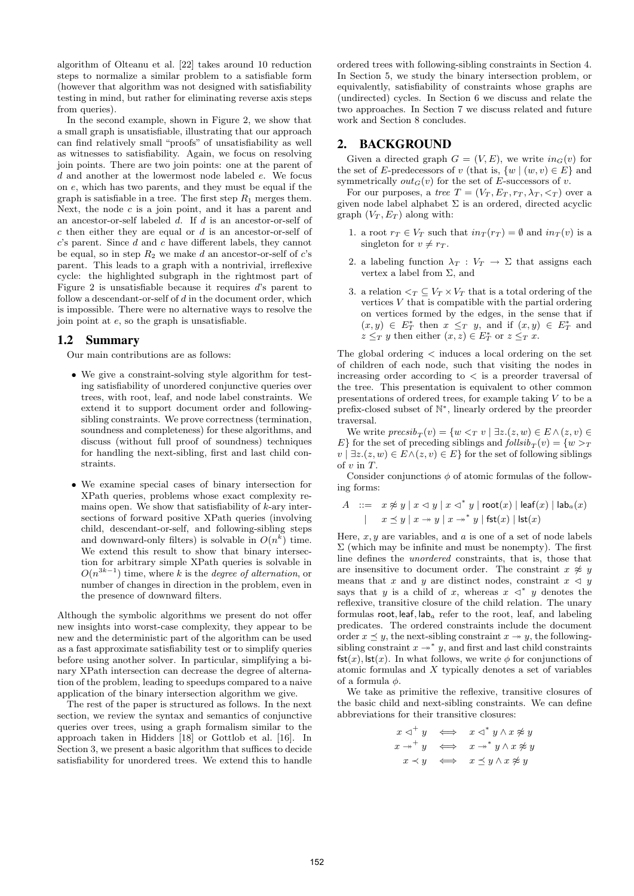algorithm of Olteanu et al. [22] takes around 10 reduction steps to normalize a similar problem to a satisfiable form (however that algorithm was not designed with satisfiability testing in mind, but rather for eliminating reverse axis steps from queries).

In the second example, shown in Figure 2, we show that a small graph is unsatisfiable, illustrating that our approach can find relatively small "proofs" of unsatisfiability as well as witnesses to satisfiability. Again, we focus on resolving join points. There are two join points: one at the parent of d and another at the lowermost node labeled e. We focus on e, which has two parents, and they must be equal if the graph is satisfiable in a tree. The first step  $R_1$  merges them. Next, the node  $c$  is a join point, and it has a parent and an ancestor-or-self labeled d. If d is an ancestor-or-self of  $c$  then either they are equal or  $d$  is an ancestor-or-self of  $c$ 's parent. Since  $d$  and  $c$  have different labels, they cannot be equal, so in step  $R_2$  we make d an ancestor-or-self of c's parent. This leads to a graph with a nontrivial, irreflexive cycle: the highlighted subgraph in the rightmost part of Figure 2 is unsatisfiable because it requires  $d$ 's parent to follow a descendant-or-self of  $d$  in the document order, which is impossible. There were no alternative ways to resolve the join point at e, so the graph is unsatisfiable.

### 1.2 Summary

Our main contributions are as follows:

- We give a constraint-solving style algorithm for testing satisfiability of unordered conjunctive queries over trees, with root, leaf, and node label constraints. We extend it to support document order and followingsibling constraints. We prove correctness (termination, soundness and completeness) for these algorithms, and discuss (without full proof of soundness) techniques for handling the next-sibling, first and last child constraints.
- We examine special cases of binary intersection for XPath queries, problems whose exact complexity remains open. We show that satisfiability of  $k$ -ary intersections of forward positive XPath queries (involving child, descendant-or-self, and following-sibling steps and downward-only filters) is solvable in  $O(n^k)$  time. We extend this result to show that binary intersection for arbitrary simple XPath queries is solvable in  $O(n^{3k-1})$  time, where k is the degree of alternation, or number of changes in direction in the problem, even in the presence of downward filters.

Although the symbolic algorithms we present do not offer new insights into worst-case complexity, they appear to be new and the deterministic part of the algorithm can be used as a fast approximate satisfiability test or to simplify queries before using another solver. In particular, simplifying a binary XPath intersection can decrease the degree of alternation of the problem, leading to speedups compared to a naive application of the binary intersection algorithm we give.

The rest of the paper is structured as follows. In the next section, we review the syntax and semantics of conjunctive queries over trees, using a graph formalism similar to the approach taken in Hidders [18] or Gottlob et al. [16]. In Section 3, we present a basic algorithm that suffices to decide satisfiability for unordered trees. We extend this to handle

ordered trees with following-sibling constraints in Section 4. In Section 5, we study the binary intersection problem, or equivalently, satisfiability of constraints whose graphs are (undirected) cycles. In Section 6 we discuss and relate the two approaches. In Section 7 we discuss related and future work and Section 8 concludes.

# 2. BACKGROUND

Given a directed graph  $G = (V, E)$ , we write  $in_G(v)$  for the set of E-predecessors of v (that is,  $\{w \mid (w, v) \in E\}$  and symmetrically  $out_G(v)$  for the set of E-successors of v.

For our purposes, a tree  $T = (V_T, E_T, r_T, \lambda_T, \langle r \rangle)$  over a given node label alphabet  $\Sigma$  is an ordered, directed acyclic graph  $(V_T, E_T)$  along with:

- 1. a root  $r_T \in V_T$  such that  $in_T(r_T) = \emptyset$  and  $in_T(v)$  is a singleton for  $v \neq r_T$ .
- 2. a labeling function  $\lambda_T : V_T \to \Sigma$  that assigns each vertex a label from  $\Sigma$ , and
- 3. a relation  $\leq_T \subseteq V_T \times V_T$  that is a total ordering of the vertices V that is compatible with the partial ordering on vertices formed by the edges, in the sense that if  $(x, y) \in E_T^*$  then  $x \leq_T y$ , and if  $(x, y) \in E_T^*$  and  $z \leq_T y$  then either  $(x, z) \in E_T^*$  or  $z \leq_T x$ .

The global ordering < induces a local ordering on the set of children of each node, such that visiting the nodes in increasing order according to  $\lt$  is a preorder traversal of the tree. This presentation is equivalent to other common presentations of ordered trees, for example taking V to be a prefix-closed subset of N ∗ , linearly ordered by the preorder traversal.

We write  $\mathit{precsib}_T(v) = \{w <_T v \mid \exists z.(z, w) \in E \land (z, v) \in E\}$ E} for the set of preceding siblings and  $\text{follsib}_T(v) = \{w > T\}$  $v \mid \exists z.(z, w) \in E \land (z, v) \in E$  for the set of following siblings of v in T.

Consider conjunctions  $\phi$  of atomic formulas of the following forms:

$$
A ::= x \not\approx y \mid x \lhd y \mid x \lhd^* y \mid \text{root}(x) \mid \text{leaf}(x) \mid \text{lab}_a(x)
$$
  

$$
\mid x \preceq y \mid x \rightarrow y \mid x \rightarrow^* y \mid \text{fst}(x) \mid \text{lst}(x)
$$

Here,  $x, y$  are variables, and  $a$  is one of a set of node labels  $\Sigma$  (which may be infinite and must be nonempty). The first line defines the unordered constraints, that is, those that are insensitive to document order. The constraint  $x \not\approx y$ means that x and y are distinct nodes, constraint  $x \triangleleft y$ says that y is a child of x, whereas  $x \leq^* y$  denotes the reflexive, transitive closure of the child relation. The unary formulas root, leaf, lab<sub>a</sub> refer to the root, leaf, and labeling predicates. The ordered constraints include the document order  $x \prec y$ , the next-sibling constraint  $x \rightarrow y$ , the followingsibling constraint  $x \rightarrow^* y$ , and first and last child constraints  $fst(x)$ , lst(x). In what follows, we write  $\phi$  for conjunctions of atomic formulas and X typically denotes a set of variables of a formula  $\phi$ .

We take as primitive the reflexive, transitive closures of the basic child and next-sibling constraints. We can define abbreviations for their transitive closures:

$$
\begin{array}{rcl}\nx \triangleleft^+ y & \Longleftrightarrow & x \triangleleft^* y \wedge x \not\approx y \\
x \rightarrow^+ y & \Longleftrightarrow & x \rightarrow^* y \wedge x \not\approx y \\
x \prec y & \Longleftrightarrow & x \preceq y \wedge x \not\approx y\n\end{array}
$$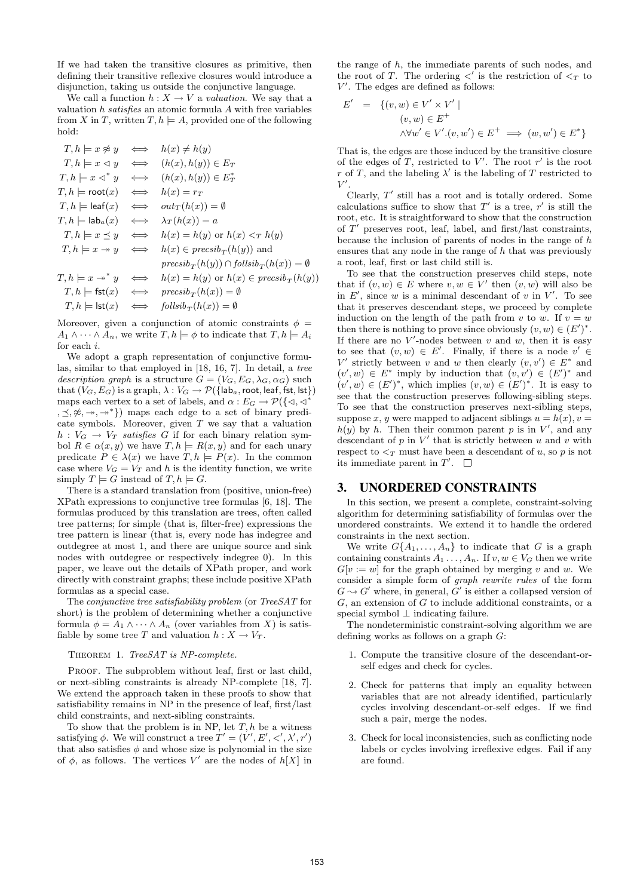If we had taken the transitive closures as primitive, then defining their transitive reflexive closures would introduce a disjunction, taking us outside the conjunctive language.

We call a function  $h: X \to V$  a valuation. We say that a valuation  $h$  satisfies an atomic formula  $A$  with free variables from X in T, written  $T, h \models A$ , provided one of the following hold:

$$
T, h \models x \not\approx y \iff h(x) \neq h(y)
$$
  
\n
$$
T, h \models x \lhd y \iff (h(x), h(y)) \in E_T
$$
  
\n
$$
T, h \models x \lhd^* y \iff (h(x), h(y)) \in E_T^*
$$
  
\n
$$
T, h \models \text{root}(x) \iff h(x) = r_T
$$
  
\n
$$
T, h \models \text{leaf}(x) \iff out_T(h(x)) = \emptyset
$$
  
\n
$$
T, h \models \text{lab}_a(x) \iff \lambda_T(h(x)) = a
$$
  
\n
$$
T, h \models x \preceq y \iff h(x) = h(y) \text{ or } h(x) <_T h(y)
$$
  
\n
$$
T, h \models x \twoheadrightarrow y \iff h(x) \in \text{precsib}_T(h(y)) \text{ and}
$$
  
\n
$$
\text{precsib}_T(h(y)) \cap \text{follow}_T(h(x)) = \emptyset
$$
  
\n
$$
T, h \models x \twoheadrightarrow^* y \iff h(x) = h(y) \text{ or } h(x) \in \text{precsib}_T(h(y))
$$
  
\n
$$
T, h \models \text{fst}(x) \iff \text{precsib}_T(h(x)) = \emptyset
$$
  
\n
$$
T, h \models \text{lst}(x) \iff \text{follow}_T(h(x)) = \emptyset
$$

Moreover, given a conjunction of atomic constraints  $\phi =$  $A_1 \wedge \cdots \wedge A_n$ , we write  $T, h \models \phi$  to indicate that  $T, h \models A_i$ for each i.

We adopt a graph representation of conjunctive formulas, similar to that employed in [18, 16, 7]. In detail, a tree description graph is a structure  $G = (V_G, E_G, \lambda_G, \alpha_G)$  such that  $(V_G, E_G)$  is a graph,  $\lambda: V_G \to \mathcal{P}(\{\mathsf{lab}_a, \mathsf{root}, \mathsf{leaf}, \mathsf{fst}, \mathsf{lst}\})$ maps each vertex to a set of labels, and  $\alpha: E_G \to \mathcal{P}(\{\triangleleft, \triangleleft^* \}$  $,\preceq,\not\approx,\rightarrow,\rightarrow^*$ }) maps each edge to a set of binary predicate symbols. Moreover, given  $T$  we say that a valuation  $h: V_G \to V_T$  satisfies G if for each binary relation symbol  $R \in \alpha(x, y)$  we have  $T, h \models R(x, y)$  and for each unary predicate  $P \in \lambda(x)$  we have  $T, h \models P(x)$ . In the common case where  $V_G = V_T$  and h is the identity function, we write simply  $T \models G$  instead of  $T, h \models G$ .

There is a standard translation from (positive, union-free) XPath expressions to conjunctive tree formulas [6, 18]. The formulas produced by this translation are trees, often called tree patterns; for simple (that is, filter-free) expressions the tree pattern is linear (that is, every node has indegree and outdegree at most 1, and there are unique source and sink nodes with outdegree or respectively indegree 0). In this paper, we leave out the details of XPath proper, and work directly with constraint graphs; these include positive XPath formulas as a special case.

The conjunctive tree satisfiability problem (or TreeSAT for short) is the problem of determining whether a conjunctive formula  $\phi = A_1 \wedge \cdots \wedge A_n$  (over variables from X) is satisfiable by some tree T and valuation  $h: X \to V_T$ .

THEOREM 1. TreeSAT is NP-complete.

PROOF. The subproblem without leaf, first or last child, or next-sibling constraints is already NP-complete [18, 7]. We extend the approach taken in these proofs to show that satisfiability remains in NP in the presence of leaf, first/last child constraints, and next-sibling constraints.

To show that the problem is in NP, let  $T, h$  be a witness satisfying  $\phi$ . We will construct a tree  $T' = (V', E', \langle', \lambda', r')$ that also satisfies  $\phi$  and whose size is polynomial in the size of  $\phi$ , as follows. The vertices V' are the nodes of  $h[X]$  in

the range of  $h$ , the immediate parents of such nodes, and the root of T. The ordering  $\langle$  is the restriction of  $\langle T \rangle$  to  $V'$ . The edges are defined as follows:

$$
E' = \{(v, w) \in V' \times V' \mid
$$
  
\n
$$
(v, w) \in E^+
$$
  
\n
$$
\land \forall w' \in V'.(v, w') \in E^+ \implies (w, w') \in E^*\}
$$

That is, the edges are those induced by the transitive closure of the edges of T, restricted to  $V'$ . The root  $r'$  is the root r of T, and the labeling  $\lambda'$  is the labeling of T restricted to  $V'.$ 

Clearly,  $T'$  still has a root and is totally ordered. Some calculations suffice to show that  $T'$  is a tree,  $r'$  is still the root, etc. It is straightforward to show that the construction of  $T'$  preserves root, leaf, label, and first/last constraints, because the inclusion of parents of nodes in the range of h ensures that any node in the range of  $h$  that was previously a root, leaf, first or last child still is.

To see that the construction preserves child steps, note that if  $(v, w) \in E$  where  $v, w \in V'$  then  $(v, w)$  will also be in  $E'$ , since w is a minimal descendant of v in  $V'$ . To see that it preserves descendant steps, we proceed by complete induction on the length of the path from v to w. If  $v = w$ then there is nothing to prove since obviously  $(v, w) \in (E')^*$ . If there are no  $V'$ -nodes between v and w, then it is easy to see that  $(v, w) \in E'$ . Finally, if there is a node  $v' \in$ V' strictly between v and w then clearly  $(v, v') \in E^*$  and  $(v', w) \in E^*$  imply by induction that  $(v, v') \in (E')^*$  and  $(v', w) \in (E')^*$ , which implies  $(v, w) \in (E')^*$ . It is easy to see that the construction preserves following-sibling steps. To see that the construction preserves next-sibling steps, suppose x, y were mapped to adjacent siblings  $u = h(x)$ ,  $v =$  $h(y)$  by h. Then their common parent p is in V', and any descendant of  $p$  in  $V'$  that is strictly between  $u$  and  $v$  with respect to  $\leq_T$  must have been a descendant of u, so p is not its immediate parent in  $T'$ .

### 3. UNORDERED CONSTRAINTS

In this section, we present a complete, constraint-solving algorithm for determining satisfiability of formulas over the unordered constraints. We extend it to handle the ordered constraints in the next section.

We write  $G\{A_1,\ldots,A_n\}$  to indicate that G is a graph containing constraints  $A_1 \ldots, A_n$ . If  $v, w \in V_G$  then we write  $G[v := w]$  for the graph obtained by merging v and w. We consider a simple form of graph rewrite rules of the form  $G \sim G'$  where, in general,  $G'$  is either a collapsed version of G, an extension of G to include additional constraints, or a special symbol ⊥ indicating failure.

The nondeterministic constraint-solving algorithm we are defining works as follows on a graph G:

- 1. Compute the transitive closure of the descendant-orself edges and check for cycles.
- 2. Check for patterns that imply an equality between variables that are not already identified, particularly cycles involving descendant-or-self edges. If we find such a pair, merge the nodes.
- 3. Check for local inconsistencies, such as conflicting node labels or cycles involving irreflexive edges. Fail if any are found.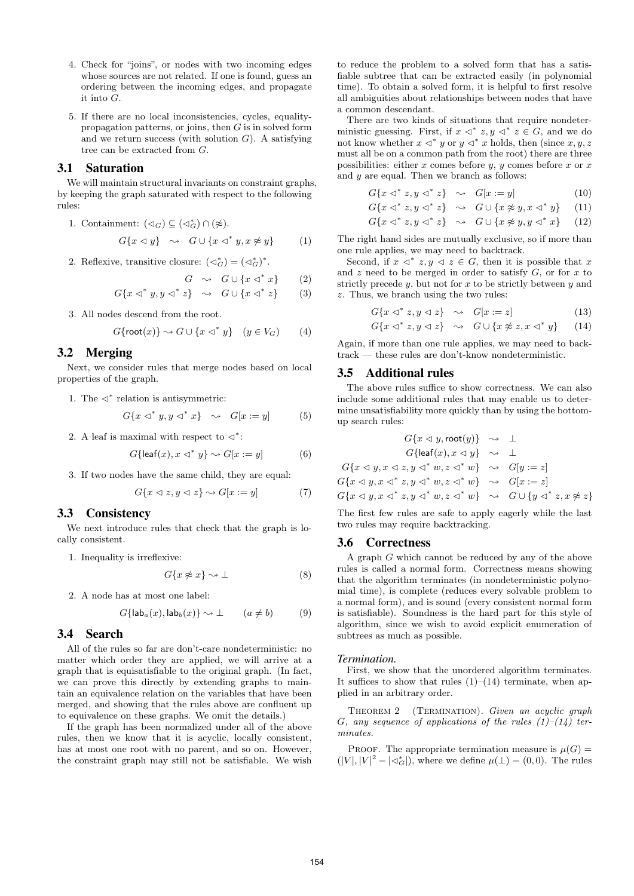- 4. Check for "joins", or nodes with two incoming edges whose sources are not related. If one is found, guess an ordering between the incoming edges, and propagate it into G.
- 5. If there are no local inconsistencies, cycles, equalitypropagation patterns, or joins, then  $G$  is in solved form and we return success (with solution  $G$ ). A satisfying tree can be extracted from G.

# 3.1 Saturation

We will maintain structural invariants on constraint graphs. by keeping the graph saturated with respect to the following rules:

1. Containment: 
$$
(\lhd_G) \subseteq (\lhd_G^*) \cap (\not\approx)
$$
.

$$
G\{x \lhd y\} \quad \leadsto \quad G \cup \{x \lhd^* y, x \not\approx y\} \tag{1}
$$

2. Reflexive, transitive closure:  $(\triangleleft_G^*) = (\triangleleft_G^*)^*$ .

$$
G \sim G \cup \{x \triangleleft^* x\} \qquad (2)
$$
  

$$
G\{x \triangleleft^* y, y \triangleleft^* z\} \sim G \cup \{x \triangleleft^* z\} \qquad (3)
$$

3. All nodes descend from the root.

$$
G{\text{root}(x)} \rightarrow G \cup \{x \triangleleft^* y\} \quad (y \in V_G) \tag{4}
$$

# 3.2 Merging

Next, we consider rules that merge nodes based on local properties of the graph.

1. The  $\triangleleft^*$  relation is antisymmetric:

$$
G\{x \triangleleft^* y, y \triangleleft^* x\} \quad \sim \quad G[x := y] \tag{5}
$$

2. A leaf is maximal with respect to  $\triangleleft^*$ :

$$
G\{\operatorname{leaf}(x), x \triangleleft^* y\} \sim G[x := y] \tag{6}
$$

3. If two nodes have the same child, they are equal:

$$
G\{x \lhd z, y \lhd z\} \sim G[x := y]
$$
 (7)

### 3.3 Consistency

We next introduce rules that check that the graph is locally consistent.

1. Inequality is irreflexive:

$$
G\{x \not\approx x\} \sim \bot \tag{8}
$$

2. A node has at most one label:

$$
G\{\mathsf{lab}_a(x), \mathsf{lab}_b(x)\} \rightsquigarrow \bot \qquad (a \neq b) \tag{9}
$$

# 3.4 Search

All of the rules so far are don't-care nondeterministic: no matter which order they are applied, we will arrive at a graph that is equisatisfiable to the original graph. (In fact, we can prove this directly by extending graphs to maintain an equivalence relation on the variables that have been merged, and showing that the rules above are confluent up to equivalence on these graphs. We omit the details.)

If the graph has been normalized under all of the above rules, then we know that it is acyclic, locally consistent, has at most one root with no parent, and so on. However, the constraint graph may still not be satisfiable. We wish

to reduce the problem to a solved form that has a satisfiable subtree that can be extracted easily (in polynomial time). To obtain a solved form, it is helpful to first resolve all ambiguities about relationships between nodes that have a common descendant.

There are two kinds of situations that require nondeterministic guessing. First, if  $x \triangleleft^* z, y \triangleleft^* z \in G$ , and we do not know whether  $x \triangleleft^* y$  or  $y \triangleleft^* x$  holds, then (since  $x, y, z$ must all be on a common path from the root) there are three possibilities: either  $x$  comes before  $y$ ,  $y$  comes before  $x$  or  $x$ and  $y$  are equal. Then we branch as follows:

$$
G\{x \triangleleft^* z, y \triangleleft^* z\} \quad \sim \quad G[x := y] \tag{10}
$$

$$
G\{x \triangleleft^* z, y \triangleleft^* z\} \quad \sim \quad G \cup \{x \not\approx y, x \triangleleft^* y\} \tag{11}
$$

$$
G\{x \triangleleft^* z, y \triangleleft^* z\} \quad \sim \quad G \cup \{x \not\approx y, y \triangleleft^* x\} \tag{12}
$$

The right hand sides are mutually exclusive, so if more than one rule applies, we may need to backtrack.

Second, if  $x \leq^* z, y \leq z \in G$ , then it is possible that x and  $z$  need to be merged in order to satisfy  $G$ , or for  $x$  to strictly precede  $y$ , but not for  $x$  to be strictly between  $y$  and z. Thus, we branch using the two rules:

$$
G\{x \triangleleft^* z, y \triangleleft z\} \quad \sim \quad G[x := z] \tag{13}
$$

$$
G\{x \triangleleft^* z, y \triangleleft z\} \quad \leadsto \quad G \cup \{x \not\approx z, x \triangleleft^* y\} \qquad (14)
$$

Again, if more than one rule applies, we may need to backtrack — these rules are don't-know nondeterministic.

### 3.5 Additional rules

The above rules suffice to show correctness. We can also include some additional rules that may enable us to determine unsatisfiability more quickly than by using the bottomup search rules:

$$
G\{x \triangleleft y, \text{root}(y)\} \quad \sim \quad \bot
$$
\n
$$
G\{\text{leaf}(x), x \triangleleft y\} \quad \sim \quad \bot
$$
\n
$$
G\{x \triangleleft y, x \triangleleft z, y \triangleleft^* w, z \triangleleft^* w\} \quad \sim \quad G[y := z]
$$
\n
$$
G\{x \triangleleft y, x \triangleleft^* z, y \triangleleft^* w, z \triangleleft^* w\} \quad \sim \quad G[x := z]
$$
\n
$$
G\{x \triangleleft y, x \triangleleft^* z, y \triangleleft^* w, z \triangleleft^* w\} \quad \sim \quad G \cup \{y \triangleleft^* z, x \ncong z\}
$$

The first few rules are safe to apply eagerly while the last two rules may require backtracking.

### 3.6 Correctness

A graph G which cannot be reduced by any of the above rules is called a normal form. Correctness means showing that the algorithm terminates (in nondeterministic polynomial time), is complete (reduces every solvable problem to a normal form), and is sound (every consistent normal form is satisfiable). Soundness is the hard part for this style of algorithm, since we wish to avoid explicit enumeration of subtrees as much as possible.

#### *Termination.*

First, we show that the unordered algorithm terminates. It suffices to show that rules  $(1)$ – $(14)$  terminate, when applied in an arbitrary order.

THEOREM 2 (TERMINATION). Given an acyclic graph G, any sequence of applications of the rules  $(1)$ – $(14)$  terminates.

PROOF. The appropriate termination measure is  $\mu(G)$  =  $(|V|, |V|^2 - |\langle \mathcal{A}_G^*|),$  where we define  $\mu(\perp) = (0, 0).$  The rules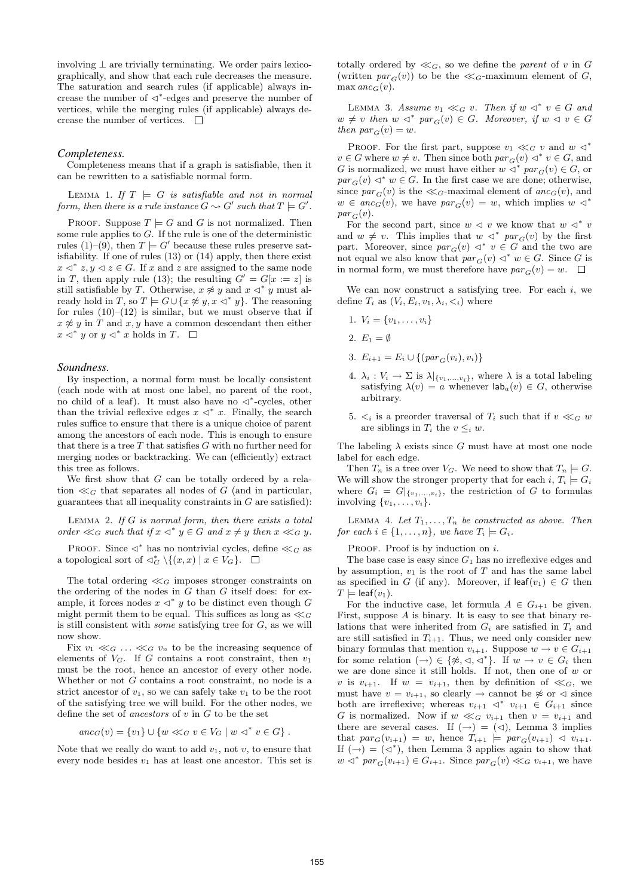involving  $\perp$  are trivially terminating. We order pairs lexicographically, and show that each rule decreases the measure. The saturation and search rules (if applicable) always increase the number of  $\triangleleft^*$ -edges and preserve the number of vertices, while the merging rules (if applicable) always decrease the number of vertices.  $\quad \Box$ 

#### *Completeness.*

Completeness means that if a graph is satisfiable, then it can be rewritten to a satisfiable normal form.

LEMMA 1. If  $T \models G$  is satisfiable and not in normal form, then there is a rule instance  $G \rightsquigarrow G'$  such that  $T \models G'$ .

PROOF. Suppose  $T \models G$  and G is not normalized. Then some rule applies to  $G$ . If the rule is one of the deterministic rules (1)–(9), then  $T \models G'$  because these rules preserve satisfiability. If one of rules (13) or (14) apply, then there exist  $x \leq^* z, y \leq z \in G$ . If x and z are assigned to the same node in T, then apply rule (13); the resulting  $G' = G[x := z]$  is still satisfiable by T. Otherwise,  $x \not\approx y$  and  $x \leq^* y$  must already hold in T, so  $T \models G \cup \{x \not\approx y, x \preceq^* y\}$ . The reasoning for rules  $(10)$ – $(12)$  is similar, but we must observe that if  $x \not\approx y$  in T and  $x, y$  have a common descendant then either  $x \triangleleft^* y$  or  $y \triangleleft^* x$  holds in T.

#### *Soundness.*

By inspection, a normal form must be locally consistent (each node with at most one label, no parent of the root, no child of a leaf). It must also have no  $\triangleleft^*$ -cycles, other than the trivial reflexive edges  $x \leq^* x$ . Finally, the search rules suffice to ensure that there is a unique choice of parent among the ancestors of each node. This is enough to ensure that there is a tree  $T$  that satisfies  $G$  with no further need for merging nodes or backtracking. We can (efficiently) extract this tree as follows.

We first show that  $G$  can be totally ordered by a relation  $\ll_G$  that separates all nodes of G (and in particular, guarantees that all inequality constraints in  $G$  are satisfied):

LEMMA 2. If  $G$  is normal form, then there exists a total order  $\ll_G$  such that if  $x \lhd^* y \in G$  and  $x \neq y$  then  $x \ll_G y$ .

PROOF. Since  $\lhd^*$  has no nontrivial cycles, define  $\ll_G$  as a topological sort of  $\lhd_G^* \setminus \{(x, x) \mid x \in V_G\}.$ 

The total ordering  $\ll_G$  imposes stronger constraints on the ordering of the nodes in  $G$  than  $G$  itself does: for example, it forces nodes  $x \triangleleft^* y$  to be distinct even though G might permit them to be equal. This suffices as long as  $\ll_G$ is still consistent with *some* satisfying tree for  $G$ , as we will now show.

Fix  $v_1 \ll_G \ldots \ll_G v_n$  to be the increasing sequence of elements of  $V_G$ . If G contains a root constraint, then  $v_1$ must be the root, hence an ancestor of every other node. Whether or not  $G$  contains a root constraint, no node is a strict ancestor of  $v_1$ , so we can safely take  $v_1$  to be the root of the satisfying tree we will build. For the other nodes, we define the set of *ancestors* of  $v$  in  $G$  to be the set

$$
anc_G(v) = \{v_1\} \cup \{w \ll_G v \in V_G \mid w \lhd^* v \in G\}.
$$

Note that we really do want to add  $v_1$ , not  $v$ , to ensure that every node besides  $v_1$  has at least one ancestor. This set is

totally ordered by  $\ll_G$ , so we define the parent of v in G (written  $par_G(v)$ ) to be the  $\ll_G$ -maximum element of G, max  $anc_G(v)$ .

LEMMA 3. Assume  $v_1 \ll_G v$ . Then if  $w \preceq^* v \in G$  and  $w \neq v$  then  $w \preceq^* par_G(v) \in G$ . Moreover, if  $w \preceq v \in G$ then  $par_G(v) = w$ .

PROOF. For the first part, suppose  $v_1 \ll_G v$  and  $w \preceq^*$  $v \in G$  where  $w \neq v$ . Then since both  $par_G(v) \lhd^* v \in G$ , and G is normalized, we must have either  $w \preceq^* par_G(v) \in G$ , or  $par_G(v) \lhd^* w \in G$ . In the first case we are done; otherwise, since  $par_G(v)$  is the  $\ll_G$ -maximal element of  $anc_G(v)$ , and  $w \in \text{anc}_G(v)$ , we have  $\text{par}_G(v) = w$ , which implies  $w \triangleleft^*$  $par_G(v).$ 

For the second part, since  $w \triangleleft v$  we know that  $w \triangleleft^* v$ and  $w \neq v$ . This implies that  $w \preceq^* par_G(v)$  by the first part. Moreover, since  $par_G(v) \preceq^* v \in G$  and the two are not equal we also know that  $par_G(v) \lhd^* w \in G$ . Since G is in normal form, we must therefore have  $par_G(v) = w$ .  $\Box$ 

We can now construct a satisfying tree. For each  $i$ , we define  $T_i$  as  $(V_i, E_i, v_1, \lambda_i, \langle i \rangle)$  where

- 1.  $V_i = \{v_1, \ldots, v_i\}$
- 2.  $E_1 = \emptyset$
- 3.  $E_{i+1} = E_i \cup \{ (par_G(v_i), v_i) \}$
- 4.  $\lambda_i: V_i \to \Sigma$  is  $\lambda|_{\{v_1,\ldots,v_i\}}$ , where  $\lambda$  is a total labeling satisfying  $\lambda(v) = a$  whenever  $\textsf{lab}_a(v) \in G$ , otherwise arbitrary.
- 5.  $\lt_i$  is a preorder traversal of  $T_i$  such that if  $v \ll_G w$ are siblings in  $T_i$  the  $v \leq_i w$ .

The labeling  $\lambda$  exists since G must have at most one node label for each edge.

Then  $T_n$  is a tree over  $V_G$ . We need to show that  $T_n \models G$ . We will show the stronger property that for each  $i, T_i \models G_i$ where  $G_i = G|_{\{v_1,\ldots,v_i\}}$ , the restriction of G to formulas involving  $\{v_1, \ldots, v_i\}$ .

LEMMA 4. Let  $T_1, \ldots, T_n$  be constructed as above. Then for each  $i \in \{1, \ldots, n\}$ , we have  $T_i \models G_i$ .

PROOF. Proof is by induction on  $i$ .

The base case is easy since  $G_1$  has no irreflexive edges and by assumption,  $v_1$  is the root of T and has the same label as specified in G (if any). Moreover, if  $\text{leaf}(v_1) \in G$  then  $T \models$  leaf $(v_1)$ .

For the inductive case, let formula  $A \in G_{i+1}$  be given. First, suppose  $A$  is binary. It is easy to see that binary relations that were inherited from  $G_i$  are satisfied in  $T_i$  and are still satisfied in  $T_{i+1}$ . Thus, we need only consider new binary formulas that mention  $v_{i+1}$ . Suppose  $w \to v \in G_{i+1}$ for some relation  $(\rightarrow) \in {\{\,\not\approx,\lhd,\lhd^*\}}$ . If  $w \to v \in G_i$  then we are done since it still holds. If not, then one of  $w$  or v is  $v_{i+1}$ . If  $w = v_{i+1}$ , then by definition of  $\ll_G$ , we must have  $v = v_{i+1}$ , so clearly  $\rightarrow$  cannot be  $\not\approx$  or  $\lhd$  since both are irreflexive; whereas  $v_{i+1} \leq v_{i+1} \in G_{i+1}$  since G is normalized. Now if  $w \ll_G v_{i+1}$  then  $v = v_{i+1}$  and there are several cases. If  $(\rightarrow) = (\triangleleft)$ , Lemma 3 implies that  $par_G(v_{i+1}) = w$ , hence  $T_{i+1} \models par_G(v_{i+1}) \triangleleft v_{i+1}$ . If  $(\rightarrow) = (\triangleleft^*)$ , then Lemma 3 applies again to show that  $w \leq^* par_G(v_{i+1}) \in G_{i+1}$ . Since  $par_G(v) \ll_G v_{i+1}$ , we have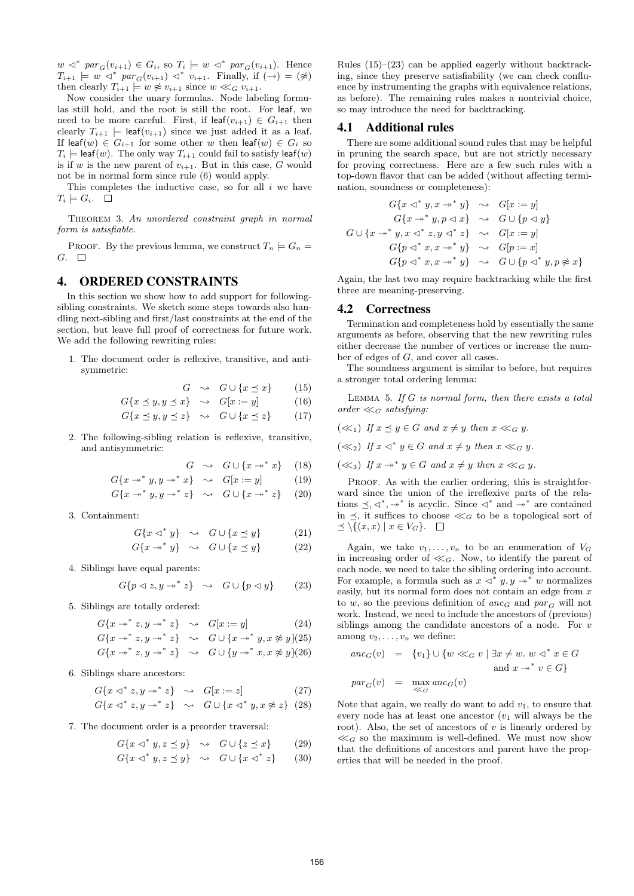$w \preceq^* par_G(v_{i+1}) \in G_i$ , so  $T_i \models w \preceq^* par_G(v_{i+1})$ . Hence  $T_{i+1} \models w \triangleleft^* par_G(v_{i+1}) \triangleleft^* v_{i+1}$ . Finally, if  $(\rightarrow) = (\not\approx)$ then clearly  $T_{i+1} \models w \not\approx v_{i+1}$  since  $w \ll_G v_{i+1}$ .

Now consider the unary formulas. Node labeling formulas still hold, and the root is still the root. For leaf, we need to be more careful. First, if  $\text{leaf}(v_{i+1}) \in G_{i+1}$  then clearly  $T_{i+1}$  = leaf( $v_{i+1}$ ) since we just added it as a leaf. If leaf $(w) \in G_{i+1}$  for some other w then leaf $(w) \in G_i$  so  $T_i \models \mathsf{leaf}(w).$  The only way  $T_{i+1}$  could fail to satisfy  $\mathsf{leaf}(w)$ is if w is the new parent of  $v_{i+1}$ . But in this case, G would not be in normal form since rule (6) would apply.

This completes the inductive case, so for all  $i$  we have  $T_i \models G_i. \square$ 

THEOREM 3. An unordered constraint graph in normal form is satisfiable.

PROOF. By the previous lemma, we construct  $T_n \models G_n =$  $G. \square$ 

# 4. ORDERED CONSTRAINTS

In this section we show how to add support for followingsibling constraints. We sketch some steps towards also handling next-sibling and first/last constraints at the end of the section, but leave full proof of correctness for future work. We add the following rewriting rules:

1. The document order is reflexive, transitive, and antisymmetric:

$$
G \sim G \cup \{x \le x\} \qquad (15)
$$

$$
G\{x \preceq y, y \preceq x\} \quad \rightsquigarrow \quad G[x := y] \tag{16}
$$

$$
G\{x \preceq y, y \preceq z\} \quad \sim \quad G \cup \{x \preceq z\} \tag{17}
$$

2. The following-sibling relation is reflexive, transitive, and antisymmetric:

$$
G \quad \leadsto \quad G \cup \{x \stackrel{\ast}{\rightarrow}^* x\} \quad (18)
$$

$$
G\{x \stackrel{m}{\rightarrow}^* y, y \stackrel{m}{\rightarrow}^* x\} \sim G[x := y]
$$
(19)

$$
G\{x \stackrel{\ast}{\rightarrow}^* y, y \stackrel{\ast}{\rightarrow}^* z\} \sim G \cup \{x \stackrel{\ast}{\rightarrow}^* z\} \tag{20}
$$

3. Containment:

$$
G\{x \triangleleft^* y\} \sim G \cup \{x \preceq y\} \tag{21}
$$

$$
G\{x \to^* y\} \quad \sim \quad G \cup \{x \preceq y\} \tag{22}
$$

4. Siblings have equal parents:

$$
G\{p\vartriangleleft z,y\twoheadrightarrow^* z\}\quad \leadsto\quad G\cup\{p\vartriangleleft y\}\qquad (23)
$$

5. Siblings are totally ordered:

$$
G\{x \stackrel{\ast}{\rightarrow}^* z, y \stackrel{\ast}{\rightarrow}^* z\} \sim G[x := y]
$$
\n
$$
G\{x \stackrel{\ast}{\rightarrow}^* z, y \stackrel{\ast}{\rightarrow}^* z\} \sim G \cup \{x \stackrel{\ast}{\rightarrow}^* y, x \not\approx y\}
$$
\n(24)

$$
G\{x \rightarrow^* z, y \rightarrow^* z\} \quad \rightsquigarrow \quad G \cup \{y \rightarrow^* x, x \not\approx y\}(26)
$$

6. Siblings share ancestors:

$$
G\{x \triangleleft^* z, y \twoheadrightarrow^* z\} \sim G[x := z]
$$
\n
$$
G\{x \triangleleft^* z, y \twoheadrightarrow^* z\} \sim G \cup \{x \triangleleft^* y, x \ncong z\} \quad (28)
$$

7. The document order is a preorder traversal:

$$
G\{x \triangleleft^* y, z \preceq y\} \quad \sim \quad G \cup \{z \preceq x\} \tag{29}
$$

$$
G\{x \triangleleft^* y, z \preceq y\} \quad \leadsto \quad G \cup \{x \triangleleft^* z\} \tag{30}
$$

Rules (15)–(23) can be applied eagerly without backtracking, since they preserve satisfiability (we can check confluence by instrumenting the graphs with equivalence relations, as before). The remaining rules makes a nontrivial choice, so may introduce the need for backtracking.

### 4.1 Additional rules

There are some additional sound rules that may be helpful in pruning the search space, but are not strictly necessary for proving correctness. Here are a few such rules with a top-down flavor that can be added (without affecting termination, soundness or completeness):

$$
G\{x \triangleleft^* y, x \rightarrow^* y\} \sim G[x := y]
$$
  
\n
$$
G\{x \rightarrow^* y, p \triangleleft x\} \sim G \cup \{p \triangleleft y\}
$$
  
\n
$$
G \cup \{x \rightarrow^* y, x \triangleleft^* z, y \triangleleft^* z\} \sim G[x := y]
$$
  
\n
$$
G\{p \triangleleft^* x, x \rightarrow^* y\} \sim G[p := x]
$$
  
\n
$$
G\{p \triangleleft^* x, x \rightarrow^* y\} \sim G \cup \{p \triangleleft^* y, p \nless x\}
$$

Again, the last two may require backtracking while the first three are meaning-preserving.

### 4.2 Correctness

Termination and completeness hold by essentially the same arguments as before, observing that the new rewriting rules either decrease the number of vertices or increase the number of edges of G, and cover all cases.

The soundness argument is similar to before, but requires a stronger total ordering lemma:

LEMMA 5. If  $G$  is normal form, then there exists a total  $order \ll_G satisfying:$ 

$$
(\ll_1)
$$
 If  $x \preceq y \in G$  and  $x \neq y$  then  $x \ll_G y$ .

 $(\ll_2)$  If  $x \lhd^* y \in G$  and  $x \neq y$  then  $x \ll_G y$ .

( $\ll$ <sub>3</sub>) If  $x \rightarrow^* y \in G$  and  $x \neq y$  then  $x \ll_G y$ .

PROOF. As with the earlier ordering, this is straightforward since the union of the irreflexive parts of the relations  $\preceq, \triangleleft^*, \rightarrow^*$  is acyclic. Since  $\triangleleft^*$  and  $\rightarrow^*$  are contained in  $\preceq$ , it suffices to choose  $\ll_G$  to be a topological sort of  $\preceq \setminus \{(x, x) \mid x \in V_G\}. \square$ 

Again, we take  $v_1, \ldots, v_n$  to be an enumeration of  $V_G$ in increasing order of  $\ll_G$ . Now, to identify the parent of each node, we need to take the sibling ordering into account. For example, a formula such as  $x \triangleleft^* y, y \rightarrow^* w$  normalizes easily, but its normal form does not contain an edge from  $x$ to w, so the previous definition of  $anc_G$  and  $par_G$  will not work. Instead, we need to include the ancestors of (previous) siblings among the candidate ancestors of a node. For v among  $v_2, \ldots, v_n$  we define:

$$
anc_G(v) = \{v_1\} \cup \{w \ll_G v \mid \exists x \neq w. w \lhd^* x \in G
$$
  
and  $x \to^* v \in G\}$   

$$
par_G(v) = \max_{\ll_G} anc_G(v)
$$

Note that again, we really do want to add  $v_1$ , to ensure that every node has at least one ancestor  $(v_1$  will always be the root). Also, the set of ancestors of  $v$  is linearly ordered by  $\ll_G$  so the maximum is well-defined. We must now show that the definitions of ancestors and parent have the properties that will be needed in the proof.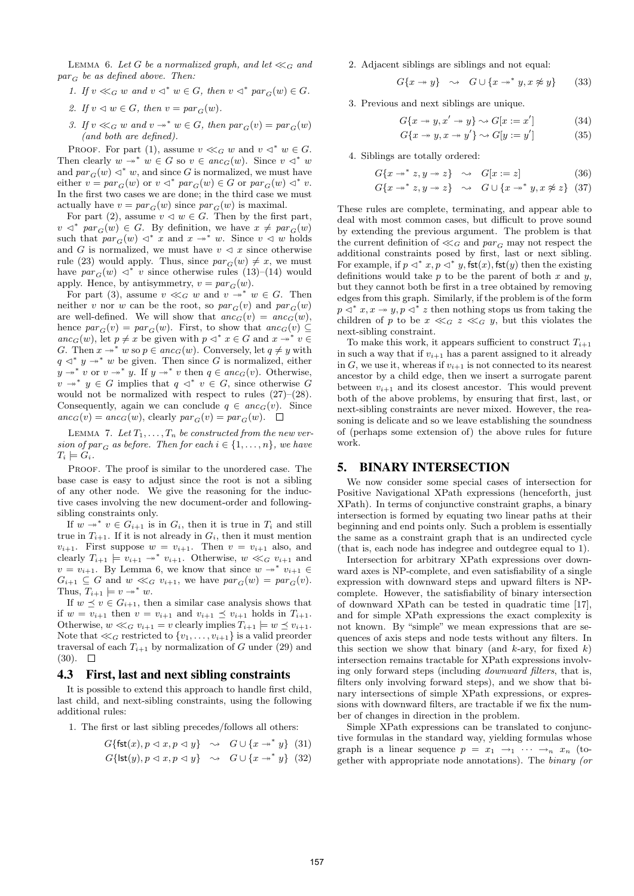LEMMA 6. Let G be a normalized graph, and let  $\ll_G$  and  $par_G$  be as defined above. Then:

- 1. If  $v \ll_G w$  and  $v \lhd^* w \in G$ , then  $v \lhd^* par_G(w) \in G$ .
- 2. If  $v \triangleleft w \in G$ , then  $v = par_G(w)$ .
- 3. If  $v \ll_G w$  and  $v \to^* w \in G$ , then  $par_G(v) = par_G(w)$ (and both are defined).

PROOF. For part (1), assume  $v \ll_G w$  and  $v \lhd^* w \in G$ . Then clearly  $w \rightarrow^* w \in G$  so  $v \in \mathit{anc}_G(w)$ . Since  $v \preceq^* w$ and  $par_G(w) \lhd^* w$ , and since G is normalized, we must have either  $v = par_G(w)$  or  $v \triangleleft^* par_G(w) \in G$  or  $par_G(w) \triangleleft^* v$ . In the first two cases we are done; in the third case we must actually have  $v = par_G(w)$  since  $par_G(w)$  is maximal.

For part (2), assume  $v \triangleleft w \in G$ . Then by the first part,  $v \preceq^* par_G(w) \in G$ . By definition, we have  $x \neq par_G(w)$ such that  $par_G(w) \preceq^* x$  and  $x \to^* w$ . Since  $v \preceq w$  holds and G is normalized, we must have  $v \triangleleft x$  since otherwise rule (23) would apply. Thus, since  $par_G(w) \neq x$ , we must have  $par_G(w) \preceq^* v$  since otherwise rules (13)–(14) would apply. Hence, by antisymmetry,  $v = par_G(w)$ .

For part (3), assume  $v \ll_G w$  and  $v \to^* w \in G$ . Then neither v nor w can be the root, so  $par_G(v)$  and  $par_G(w)$ are well-defined. We will show that  $anc_G(v) = anc_G(w)$ , hence  $par_G(v) = par_G(w)$ . First, to show that  $anc_G(v) \subseteq$ anc<sub>G</sub>(w), let  $p \neq x$  be given with  $p \lhd^* x \in G$  and  $x \rightarrow^* v \in$ G. Then  $x \to^* w$  so  $p \in anc_G(w)$ . Conversely, let  $q \neq y$  with  $q \leq^* y \to^* w$  be given. Then since G is normalized, either  $y \rightarrow^* v$  or  $v \rightarrow^* y$ . If  $y \rightarrow^* v$  then  $q \in anc_G(v)$ . Otherwise,  $v \rightarrow^* y \in G$  implies that  $q \prec^* v \in G$ , since otherwise G would not be normalized with respect to rules (27)–(28). Consequently, again we can conclude  $q \in anc_G(v)$ . Since  $\textit{anc}_G(v) = \textit{anc}_G(w)$ , clearly  $\textit{par}_G(v) = \textit{par}_G(w)$ .  $\Box$ 

LEMMA 7. Let  $T_1, \ldots, T_n$  be constructed from the new version of par<sub>c</sub> as before. Then for each  $i \in \{1, \ldots, n\}$ , we have  $T_i \models G_i$ .

PROOF. The proof is similar to the unordered case. The base case is easy to adjust since the root is not a sibling of any other node. We give the reasoning for the inductive cases involving the new document-order and followingsibling constraints only.

If  $w \rightarrow^* v \in G_{i+1}$  is in  $G_i$ , then it is true in  $T_i$  and still true in  $T_{i+1}$ . If it is not already in  $G_i$ , then it must mention  $v_{i+1}$ . First suppose  $w = v_{i+1}$ . Then  $v = v_{i+1}$  also, and clearly  $T_{i+1} \models v_{i+1} \rightarrow^* v_{i+1}$ . Otherwise,  $w \ll_G v_{i+1}$  and  $v = v_{i+1}$ . By Lemma 6, we know that since  $w \rightarrow^{*} v_{i+1} \in$  $G_{i+1} \subseteq G$  and  $w \ll_G v_{i+1}$ , we have  $par_G(w) = par_G(v)$ . Thus,  $T_{i+1} \models v \twoheadrightarrow^* w$ .

If  $w \preceq v \in G_{i+1}$ , then a similar case analysis shows that if  $w = v_{i+1}$  then  $v = v_{i+1}$  and  $v_{i+1} \preceq v_{i+1}$  holds in  $T_{i+1}$ . Otherwise,  $w \ll_G v_{i+1} = v$  clearly implies  $T_{i+1} \models w \preceq v_{i+1}$ . Note that  $\ll_G$  restricted to  $\{v_1, \ldots, v_{i+1}\}\$  is a valid preorder traversal of each  $T_{i+1}$  by normalization of G under (29) and  $(30). \square$ 

### 4.3 First, last and next sibling constraints

It is possible to extend this approach to handle first child, last child, and next-sibling constraints, using the following additional rules:

1. The first or last sibling precedes/follows all others:

$$
G\{\mathsf{fst}(x), p \vartriangleleft x, p \vartriangleleft y\} \sim G \cup \{x \to^* y\} \quad (31)
$$
  

$$
G\{\mathsf{lst}(y), p \vartriangleleft x, p \vartriangleleft y\} \sim G \cup \{x \to^* y\} \quad (32)
$$

2. Adjacent siblings are siblings and not equal:

$$
G\{x \to y\} \quad \leadsto \quad G \cup \{x \to^* y, x \not\approx y\} \tag{33}
$$

3. Previous and next siblings are unique.

$$
G\{x \to y, x' \to y\} \sim G[x := x'] \tag{34}
$$

$$
G\{x \to y, x \to y'\} \sim G[y := y'] \tag{35}
$$

4. Siblings are totally ordered:

$$
G\{x \to^* z, y \to z\} \quad \sim \quad G[x := z]
$$
\n<sup>(36)</sup>

$$
G\{x \stackrel{\ast}{\rightarrow} z, y \stackrel{\ast}{\rightarrow} z\} \rightsquigarrow G \cup \{x \stackrel{\ast}{\rightarrow} y, x \not\approx z\} (37)
$$

These rules are complete, terminating, and appear able to deal with most common cases, but difficult to prove sound by extending the previous argument. The problem is that the current definition of  $\ll_G$  and  $par_G$  may not respect the additional constraints posed by first, last or next sibling. For example, if  $p \triangleleft^* x, p \triangleleft^* y$ , fst $(x)$ , fst $(y)$  then the existing definitions would take  $p$  to be the parent of both  $x$  and  $y$ , but they cannot both be first in a tree obtained by removing edges from this graph. Similarly, if the problem is of the form  $p \leq^* x, x \to y, p \leq^* z$  then nothing stops us from taking the children of p to be  $x \ll_G z \ll_G y$ , but this violates the next-sibling constraint.

To make this work, it appears sufficient to construct  $T_{i+1}$ in such a way that if  $v_{i+1}$  has a parent assigned to it already in  $G$ , we use it, whereas if  $v_{i+1}$  is not connected to its nearest ancestor by a child edge, then we insert a surrogate parent between  $v_{i+1}$  and its closest ancestor. This would prevent both of the above problems, by ensuring that first, last, or next-sibling constraints are never mixed. However, the reasoning is delicate and so we leave establishing the soundness of (perhaps some extension of) the above rules for future work.

#### 5. BINARY INTERSECTION

We now consider some special cases of intersection for Positive Navigational XPath expressions (henceforth, just XPath). In terms of conjunctive constraint graphs, a binary intersection is formed by equating two linear paths at their beginning and end points only. Such a problem is essentially the same as a constraint graph that is an undirected cycle (that is, each node has indegree and outdegree equal to 1).

Intersection for arbitrary XPath expressions over downward axes is NP-complete, and even satisfiability of a single expression with downward steps and upward filters is NPcomplete. However, the satisfiability of binary intersection of downward XPath can be tested in quadratic time [17], and for simple XPath expressions the exact complexity is not known. By "simple" we mean expressions that are sequences of axis steps and node tests without any filters. In this section we show that binary (and k-ary, for fixed k) intersection remains tractable for XPath expressions involving only forward steps (including downward filters, that is, filters only involving forward steps), and we show that binary intersections of simple XPath expressions, or expressions with downward filters, are tractable if we fix the number of changes in direction in the problem.

Simple XPath expressions can be translated to conjunctive formulas in the standard way, yielding formulas whose graph is a linear sequence  $p = x_1 \rightarrow_1 \cdots \rightarrow_n x_n$  (together with appropriate node annotations). The binary (or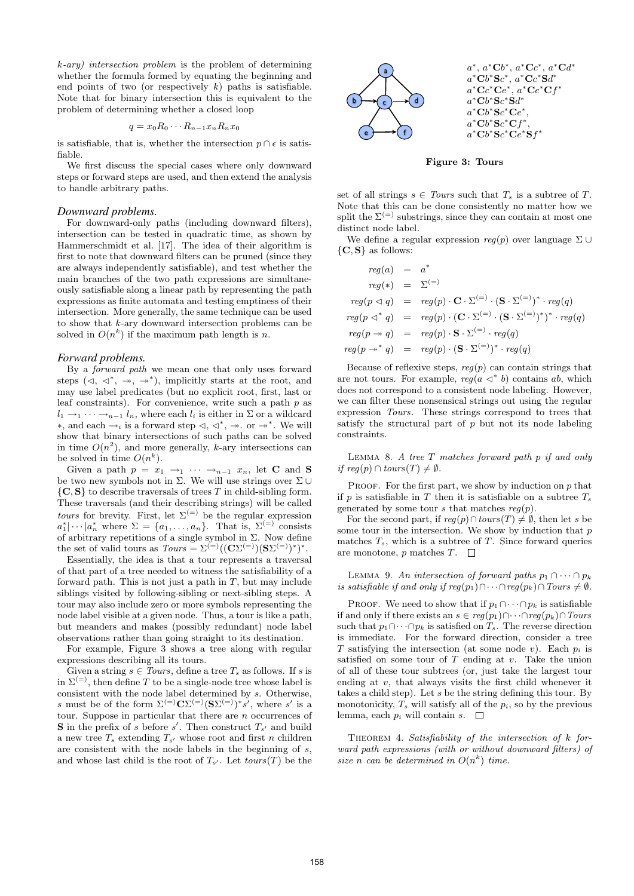k-ary) intersection problem is the problem of determining whether the formula formed by equating the beginning and end points of two (or respectively  $k$ ) paths is satisfiable. Note that for binary intersection this is equivalent to the problem of determining whether a closed loop

$$
q = x_0 R_0 \cdots R_{n-1} x_n R_n x_0
$$

is satisfiable, that is, whether the intersection  $p \cap \epsilon$  is satisfiable.

We first discuss the special cases where only downward steps or forward steps are used, and then extend the analysis to handle arbitrary paths.

#### *Downward problems.*

For downward-only paths (including downward filters), intersection can be tested in quadratic time, as shown by Hammerschmidt et al. [17]. The idea of their algorithm is first to note that downward filters can be pruned (since they are always independently satisfiable), and test whether the main branches of the two path expressions are simultaneously satisfiable along a linear path by representing the path expressions as finite automata and testing emptiness of their intersection. More generally, the same technique can be used to show that k-ary downward intersection problems can be solved in  $O(n^k)$  if the maximum path length is n.

#### *Forward problems.*

By a forward path we mean one that only uses forward steps  $(\triangleleft, \triangleleft^*, \rightarrow, \rightarrow^*)$ , implicitly starts at the root, and may use label predicates (but no explicit root, first, last or leaf constraints). For convenience, write such a path  $p$  as  $l_1 \rightarrow_1 \cdots \rightarrow_{n-1} l_n$ , where each  $l_i$  is either in  $\Sigma$  or a wildcard ∗, and each  $\rightarrow_i$  is a forward step  $\triangleleft$ ,  $\triangleleft^*$ ,  $\nrightarrow$ . or  $\nrightarrow^*$ . We will show that binary intersections of such paths can be solved in time  $O(n^2)$ , and more generally, k-ary intersections can be solved in time  $O(n^k)$ .

Given a path  $p = x_1 \rightarrow_1 \cdots \rightarrow_{n-1} x_n$ , let **C** and **S** be two new symbols not in  $\Sigma$ . We will use strings over  $\Sigma \cup$  $\{C, S\}$  to describe traversals of trees T in child-sibling form. These traversals (and their describing strings) will be called *tours* for brevity. First, let  $\Sigma^{(=)}$  be the regular expression  $a_1^*{\mid} \cdots {\mid} a_n^*$  where  $\Sigma = \{a_1, \ldots, a_n\}$ . That is,  $\Sigma^{(=)}$  consists of arbitrary repetitions of a single symbol in  $\Sigma$ . Now define the set of valid tours as  $Tours = \Sigma^{(=)}((\mathbf{C}\Sigma^{(=)})(\mathbf{S}\Sigma^{(=)})^*)^*$ .

Essentially, the idea is that a tour represents a traversal of that part of a tree needed to witness the satisfiability of a forward path. This is not just a path in  $T$ , but may include siblings visited by following-sibling or next-sibling steps. A tour may also include zero or more symbols representing the node label visible at a given node. Thus, a tour is like a path, but meanders and makes (possibly redundant) node label observations rather than going straight to its destination.

For example, Figure 3 shows a tree along with regular expressions describing all its tours.

Given a string  $s \in Tours$ , define a tree  $T_s$  as follows. If s is in  $\Sigma^{(=)}$ , then define T to be a single-node tree whose label is consistent with the node label determined by s. Otherwise, s must be of the form  $\Sigma^{(=)}\mathbf{C}\Sigma^{(=)}(\mathbf{S}\Sigma^{(=)})^*s'$ , where s' is a tour. Suppose in particular that there are n occurrences of **S** in the prefix of s before s'. Then construct  $T_{s'}$  and build a new tree  $T_s$  extending  $T_{s'}$  whose root and first n children are consistent with the node labels in the beginning of s, and whose last child is the root of  $T_{s'}$ . Let  $tours(T)$  be the



Figure 3: Tours

set of all strings  $s \in Tours$  such that  $T_s$  is a subtree of T. Note that this can be done consistently no matter how we split the  $\Sigma^{(=)}$  substrings, since they can contain at most one distinct node label.

We define a regular expression  $reg(p)$  over language  $\Sigma \cup$  ${C, S}$  as follows:

$$
reg(a) = a^*
$$
  
\n
$$
reg(*) = \Sigma^{(-)}
$$
  
\n
$$
reg(p \triangleleft q) = reg(p) \cdot \mathbf{C} \cdot \Sigma^{(-)} \cdot (\mathbf{S} \cdot \Sigma^{(-)})^* \cdot reg(q)
$$
  
\n
$$
reg(p \triangleleft q) = reg(p) \cdot (\mathbf{C} \cdot \Sigma^{(-)} \cdot (\mathbf{S} \cdot \Sigma^{(-)})^*)^* \cdot reg(q)
$$
  
\n
$$
reg(p \rightarrow q) = reg(p) \cdot \mathbf{S} \cdot \Sigma^{(-)} \cdot reg(q)
$$
  
\n
$$
reg(p \rightarrow^* q) = reg(p) \cdot (\mathbf{S} \cdot \Sigma^{(-)})^* \cdot reg(q)
$$

Because of reflexive steps,  $reg(p)$  can contain strings that are not tours. For example,  $reg(a \triangleleft^* b)$  contains ab, which does not correspond to a consistent node labeling. However, we can filter these nonsensical strings out using the regular expression Tours. These strings correspond to trees that satisfy the structural part of  $p$  but not its node labeling constraints.

LEMMA 8. A tree  $T$  matches forward path  $p$  if and only *if reg*(*p*) ∩ *tours*(*T*)  $\neq$   $\emptyset$ .

PROOF. For the first part, we show by induction on  $p$  that if p is satisfiable in T then it is satisfiable on a subtree  $T_s$ generated by some tour s that matches  $req(p)$ .

For the second part, if  $req(p) \cap tours(T) \neq \emptyset$ , then let s be some tour in the intersection. We show by induction that  $p$ matches  $T_s$ , which is a subtree of  $T$ . Since forward queries are monotone,  $p$  matches  $T$ .  $\Box$ 

LEMMA 9. An intersection of forward paths  $p_1 \cap \cdots \cap p_k$ is satisfiable if and only if  $reg(p_1) \cap \cdots \cap reg(p_k) \cap Tours \neq \emptyset$ .

PROOF. We need to show that if  $p_1 \cap \cdots \cap p_k$  is satisfiable if and only if there exists an  $s \in reg(p_1) \cap \cdots \cap reg(p_k) \cap Tours$ such that  $p_1 \cap \cdots \cap p_k$  is satisfied on  $T_s$ . The reverse direction is immediate. For the forward direction, consider a tree T satisfying the intersection (at some node v). Each  $p_i$  is satisfied on some tour of  $T$  ending at  $v$ . Take the union of all of these tour subtrees (or, just take the largest tour ending at  $v$ , that always visits the first child whenever it takes a child step). Let  $s$  be the string defining this tour. By monotonicity,  $T_s$  will satisfy all of the  $p_i$ , so by the previous lemma, each  $p_i$  will contain s.  $\Box$ 

THEOREM 4. Satisfiability of the intersection of  $k$  forward path expressions (with or without downward filters) of size n can be determined in  $O(n^k)$  time.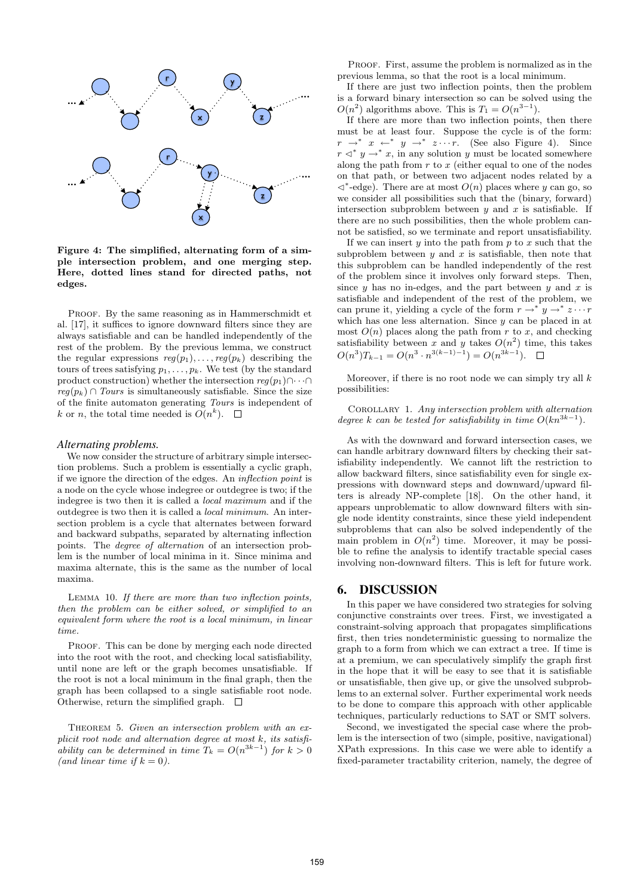

x Figure 4: The simplified, alternating form of a simple intersection problem, and one merging step. Here, dotted lines stand for directed paths, not edges.

PROOF. By the same reasoning as in Hammerschmidt et al. [17], it suffices to ignore downward filters since they are always satisfiable and can be handled independently of the rest of the problem. By the previous lemma, we construct the regular expressions  $reg(p_1), \ldots, reg(p_k)$  describing the tours of trees satisfying  $p_1, \ldots, p_k$ . We test (by the standard product construction) whether the intersection  $reg(p_1) \cap \cdots \cap$  $req(p_k) \cap Tours$  is simultaneously satisfiable. Since the size of the finite automaton generating Tours is independent of k or n, the total time needed is  $O(n^k)$ .

#### *Alternating problems.*

We now consider the structure of arbitrary simple intersection problems. Such a problem is essentially a cyclic graph, if we ignore the direction of the edges. An inflection point is a node on the cycle whose indegree or outdegree is two; if the indegree is two then it is called a local maximum and if the outdegree is two then it is called a local minimum. An intersection problem is a cycle that alternates between forward and backward subpaths, separated by alternating inflection points. The degree of alternation of an intersection problem is the number of local minima in it. Since minima and maxima alternate, this is the same as the number of local maxima.

Lemma 10. If there are more than two inflection points, then the problem can be either solved, or simplified to an equivalent form where the root is a local minimum, in linear time.

PROOF. This can be done by merging each node directed into the root with the root, and checking local satisfiability, until none are left or the graph becomes unsatisfiable. If the root is not a local minimum in the final graph, then the graph has been collapsed to a single satisfiable root node. Otherwise, return the simplified graph.  $\Box$ 

THEOREM 5. Given an intersection problem with an explicit root node and alternation degree at most k, its satisfiability can be determined in time  $T_k = O(n^{3k-1})$  for  $k > 0$ (and linear time if  $k = 0$ ).

PROOF. First, assume the problem is normalized as in the previous lemma, so that the root is a local minimum.

If there are just two inflection points, then the problem is a forward binary intersection so can be solved using the  $O(n^2)$  algorithms above. This is  $T_1 = O(n^{3-1})$ .

If there are more than two inflection points, then there must be at least four. Suppose the cycle is of the form:  $r \rightarrow^* x \leftarrow^* y \rightarrow^* z \cdots r$ . (See also Figure 4). Since  $r \leq^* y \to^* x$ , in any solution y must be located somewhere along the path from  $r$  to  $x$  (either equal to one of the nodes on that path, or between two adjacent nodes related by a  $\lhd^*$ -edge). There are at most  $O(n)$  places where y can go, so we consider all possibilities such that the (binary, forward) intersection subproblem between  $y$  and  $x$  is satisfiable. If there are no such possibilities, then the whole problem cannot be satisfied, so we terminate and report unsatisfiability.

If we can insert  $y$  into the path from  $p$  to  $x$  such that the subproblem between  $u$  and  $x$  is satisfiable, then note that this subproblem can be handled independently of the rest of the problem since it involves only forward steps. Then, since y has no in-edges, and the part between y and x is satisfiable and independent of the rest of the problem, we can prune it, yielding a cycle of the form  $r \rightarrow^* y \rightarrow^* z \cdots r$ which has one less alternation. Since  $y$  can be placed in at most  $O(n)$  places along the path from r to x, and checking satisfiability between x and y takes  $O(n^2)$  time, this takes  $O(n^3)T_{k-1} = O(n^3 \cdot n^{3(k-1)-1}) = O(n^{3k-1}).$ 

Moreover, if there is no root node we can simply try all  $k$ possibilities:

Corollary 1. Any intersection problem with alternation degree k can be tested for satisfiability in time  $O(kn^{3k-1})$ .

As with the downward and forward intersection cases, we can handle arbitrary downward filters by checking their satisfiability independently. We cannot lift the restriction to allow backward filters, since satisfiability even for single expressions with downward steps and downward/upward filters is already NP-complete [18]. On the other hand, it appears unproblematic to allow downward filters with single node identity constraints, since these yield independent subproblems that can also be solved independently of the main problem in  $O(n^2)$  time. Moreover, it may be possible to refine the analysis to identify tractable special cases involving non-downward filters. This is left for future work.

# 6. DISCUSSION

In this paper we have considered two strategies for solving conjunctive constraints over trees. First, we investigated a constraint-solving approach that propagates simplifications first, then tries nondeterministic guessing to normalize the graph to a form from which we can extract a tree. If time is at a premium, we can speculatively simplify the graph first in the hope that it will be easy to see that it is satisfiable or unsatisfiable, then give up, or give the unsolved subproblems to an external solver. Further experimental work needs to be done to compare this approach with other applicable techniques, particularly reductions to SAT or SMT solvers.

Second, we investigated the special case where the problem is the intersection of two (simple, positive, navigational) XPath expressions. In this case we were able to identify a fixed-parameter tractability criterion, namely, the degree of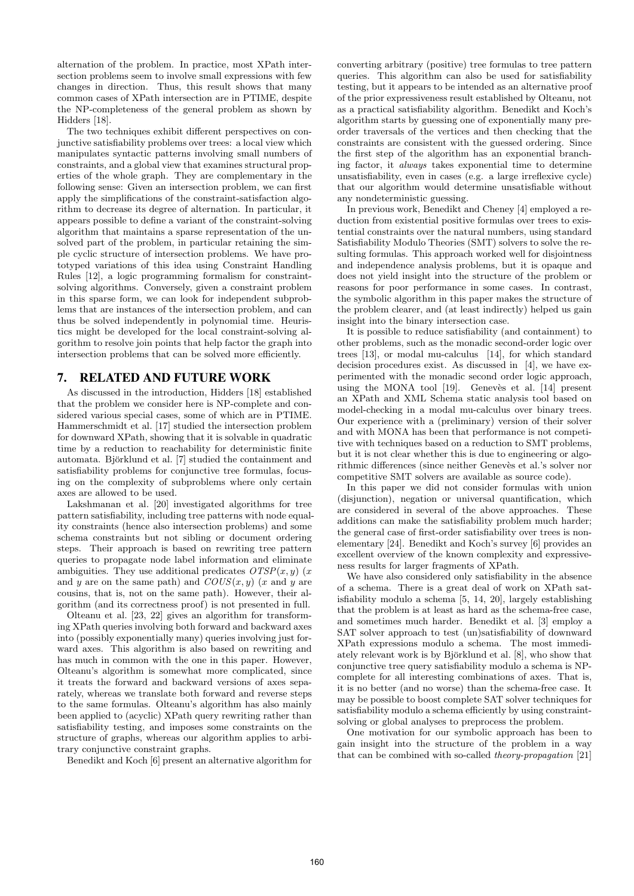alternation of the problem. In practice, most XPath intersection problems seem to involve small expressions with few changes in direction. Thus, this result shows that many common cases of XPath intersection are in PTIME, despite the NP-completeness of the general problem as shown by Hidders [18].

The two techniques exhibit different perspectives on conjunctive satisfiability problems over trees: a local view which manipulates syntactic patterns involving small numbers of constraints, and a global view that examines structural properties of the whole graph. They are complementary in the following sense: Given an intersection problem, we can first apply the simplifications of the constraint-satisfaction algorithm to decrease its degree of alternation. In particular, it appears possible to define a variant of the constraint-solving algorithm that maintains a sparse representation of the unsolved part of the problem, in particular retaining the simple cyclic structure of intersection problems. We have prototyped variations of this idea using Constraint Handling Rules [12], a logic programming formalism for constraintsolving algorithms. Conversely, given a constraint problem in this sparse form, we can look for independent subproblems that are instances of the intersection problem, and can thus be solved independently in polynomial time. Heuristics might be developed for the local constraint-solving algorithm to resolve join points that help factor the graph into intersection problems that can be solved more efficiently.

### 7. RELATED AND FUTURE WORK

As discussed in the introduction, Hidders [18] established that the problem we consider here is NP-complete and considered various special cases, some of which are in PTIME. Hammerschmidt et al. [17] studied the intersection problem for downward XPath, showing that it is solvable in quadratic time by a reduction to reachability for deterministic finite automata. Björklund et al. [7] studied the containment and satisfiability problems for conjunctive tree formulas, focusing on the complexity of subproblems where only certain axes are allowed to be used.

Lakshmanan et al. [20] investigated algorithms for tree pattern satisfiability, including tree patterns with node equality constraints (hence also intersection problems) and some schema constraints but not sibling or document ordering steps. Their approach is based on rewriting tree pattern queries to propagate node label information and eliminate ambiguities. They use additional predicates  $OTSP(x, y)$  (x and y are on the same path) and  $COUS(x, y)$  (x and y are cousins, that is, not on the same path). However, their algorithm (and its correctness proof) is not presented in full.

Olteanu et al. [23, 22] gives an algorithm for transforming XPath queries involving both forward and backward axes into (possibly exponentially many) queries involving just forward axes. This algorithm is also based on rewriting and has much in common with the one in this paper. However, Olteanu's algorithm is somewhat more complicated, since it treats the forward and backward versions of axes separately, whereas we translate both forward and reverse steps to the same formulas. Olteanu's algorithm has also mainly been applied to (acyclic) XPath query rewriting rather than satisfiability testing, and imposes some constraints on the structure of graphs, whereas our algorithm applies to arbitrary conjunctive constraint graphs.

Benedikt and Koch [6] present an alternative algorithm for

converting arbitrary (positive) tree formulas to tree pattern queries. This algorithm can also be used for satisfiability testing, but it appears to be intended as an alternative proof of the prior expressiveness result established by Olteanu, not as a practical satisfiability algorithm. Benedikt and Koch's algorithm starts by guessing one of exponentially many preorder traversals of the vertices and then checking that the constraints are consistent with the guessed ordering. Since the first step of the algorithm has an exponential branching factor, it always takes exponential time to determine unsatisfiability, even in cases (e.g. a large irreflexive cycle) that our algorithm would determine unsatisfiable without any nondeterministic guessing.

In previous work, Benedikt and Cheney [4] employed a reduction from existential positive formulas over trees to existential constraints over the natural numbers, using standard Satisfiability Modulo Theories (SMT) solvers to solve the resulting formulas. This approach worked well for disjointness and independence analysis problems, but it is opaque and does not yield insight into the structure of the problem or reasons for poor performance in some cases. In contrast, the symbolic algorithm in this paper makes the structure of the problem clearer, and (at least indirectly) helped us gain insight into the binary intersection case.

It is possible to reduce satisfiability (and containment) to other problems, such as the monadic second-order logic over trees [13], or modal mu-calculus [14], for which standard decision procedures exist. As discussed in [4], we have experimented with the monadic second order logic approach, using the MONA tool  $[19]$ . Genevès et al.  $[14]$  present an XPath and XML Schema static analysis tool based on model-checking in a modal mu-calculus over binary trees. Our experience with a (preliminary) version of their solver and with MONA has been that performance is not competitive with techniques based on a reduction to SMT problems, but it is not clear whether this is due to engineering or algorithmic differences (since neither Genevès et al.'s solver nor competitive SMT solvers are available as source code).

In this paper we did not consider formulas with union (disjunction), negation or universal quantification, which are considered in several of the above approaches. These additions can make the satisfiability problem much harder; the general case of first-order satisfiability over trees is nonelementary [24]. Benedikt and Koch's survey [6] provides an excellent overview of the known complexity and expressiveness results for larger fragments of XPath.

We have also considered only satisfiability in the absence of a schema. There is a great deal of work on XPath satisfiability modulo a schema [5, 14, 20], largely establishing that the problem is at least as hard as the schema-free case, and sometimes much harder. Benedikt et al. [3] employ a SAT solver approach to test (un)satisfiability of downward XPath expressions modulo a schema. The most immediately relevant work is by Björklund et al. [8], who show that conjunctive tree query satisfiability modulo a schema is NPcomplete for all interesting combinations of axes. That is, it is no better (and no worse) than the schema-free case. It may be possible to boost complete SAT solver techniques for satisfiability modulo a schema efficiently by using constraintsolving or global analyses to preprocess the problem.

One motivation for our symbolic approach has been to gain insight into the structure of the problem in a way that can be combined with so-called theory-propagation [21]